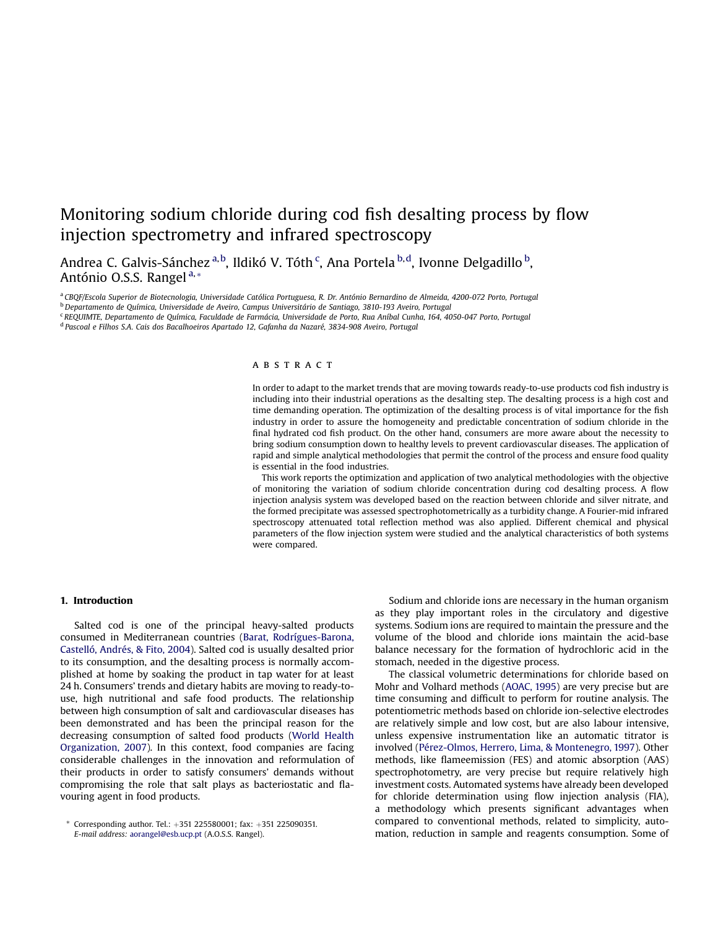# Monitoring sodium chloride during cod fish desalting process by flow injection spectrometry and infrared spectroscopy

Andrea C. Galvis-Sánchez <sup>a, b</sup>, Ildikó V. Tóth <sup>c</sup>, Ana Portela <sup>b, d</sup>, Ivonne Delgadillo <sup>b</sup>, António O.S.S. Rangel<sup>a,\*</sup>

a<br>CBQF/Escola Superior de Biotecnologia, Universidade Católica Portuguesa, R. Dr. António Bernardino de Almeida, 4200-072 Porto, Portugal

<sup>b</sup> Departamento de Química, Universidade de Aveiro, Campus Universitário de Santiago, 3810-193 Aveiro, Portugal

<sup>c</sup> REQUIMTE, Departamento de Química, Faculdade de Farmácia, Universidade de Porto, Rua Aníbal Cunha, 164, 4050-047 Porto, Portugal

<sup>d</sup> Pascoal e Filhos S.A. Cais dos Bacalhoeiros Apartado 12, Gafanha da Nazaré, 3834-908 Aveiro, Portugal

# A B S T R A C T

In order to adapt to the market trends that are moving towards ready-to-use products cod fish industry is including into their industrial operations as the desalting step. The desalting process is a high cost and time demanding operation. The optimization of the desalting process is of vital importance for the fish industry in order to assure the homogeneity and predictable concentration of sodium chloride in the final hydrated cod fish product. On the other hand, consumers are more aware about the necessity to bring sodium consumption down to healthy levels to prevent cardiovascular diseases. The application of rapid and simple analytical methodologies that permit the control of the process and ensure food quality is essential in the food industries.

This work reports the optimization and application of two analytical methodologies with the objective of monitoring the variation of sodium chloride concentration during cod desalting process. A flow injection analysis system was developed based on the reaction between chloride and silver nitrate, and the formed precipitate was assessed spectrophotometrically as a turbidity change. A Fourier-mid infrared spectroscopy attenuated total reflection method was also applied. Different chemical and physical parameters of the flow injection system were studied and the analytical characteristics of both systems were compared.

## 1. Introduction

Salted cod is one of the principal heavy-salted products consumed in Mediterranean countries (Barat, Rodrígues-Barona, Castelló, Andrés, & Fito, 2004). Salted cod is usually desalted prior to its consumption, and the desalting process is normally accomplished at home by soaking the product in tap water for at least 24 h. Consumers' trends and dietary habits are moving to ready-touse, high nutritional and safe food products. The relationship between high consumption of salt and cardiovascular diseases has been demonstrated and has been the principal reason for the decreasing consumption of salted food products (World Health Organization, 2007). In this context, food companies are facing considerable challenges in the innovation and reformulation of their products in order to satisfy consumers' demands without compromising the role that salt plays as bacteriostatic and flavouring agent in food products.

Sodium and chloride ions are necessary in the human organism as they play important roles in the circulatory and digestive systems. Sodium ions are required to maintain the pressure and the volume of the blood and chloride ions maintain the acid-base balance necessary for the formation of hydrochloric acid in the stomach, needed in the digestive process.

The classical volumetric determinations for chloride based on Mohr and Volhard methods (AOAC, 1995) are very precise but are time consuming and difficult to perform for routine analysis. The potentiometric methods based on chloride ion-selective electrodes are relatively simple and low cost, but are also labour intensive, unless expensive instrumentation like an automatic titrator is involved (Pérez-Olmos, Herrero, Lima, & Montenegro, 1997). Other methods, like flameemission (FES) and atomic absorption (AAS) spectrophotometry, are very precise but require relatively high investment costs. Automated systems have already been developed for chloride determination using flow injection analysis (FIA), a methodology which presents significant advantages when compared to conventional methods, related to simplicity, automation, reduction in sample and reagents consumption. Some of

 $*$  Corresponding author. Tel.:  $+351$  225580001; fax:  $+351$  225090351. E-mail address: aorangel@esb.ucp.pt (A.O.S.S. Rangel).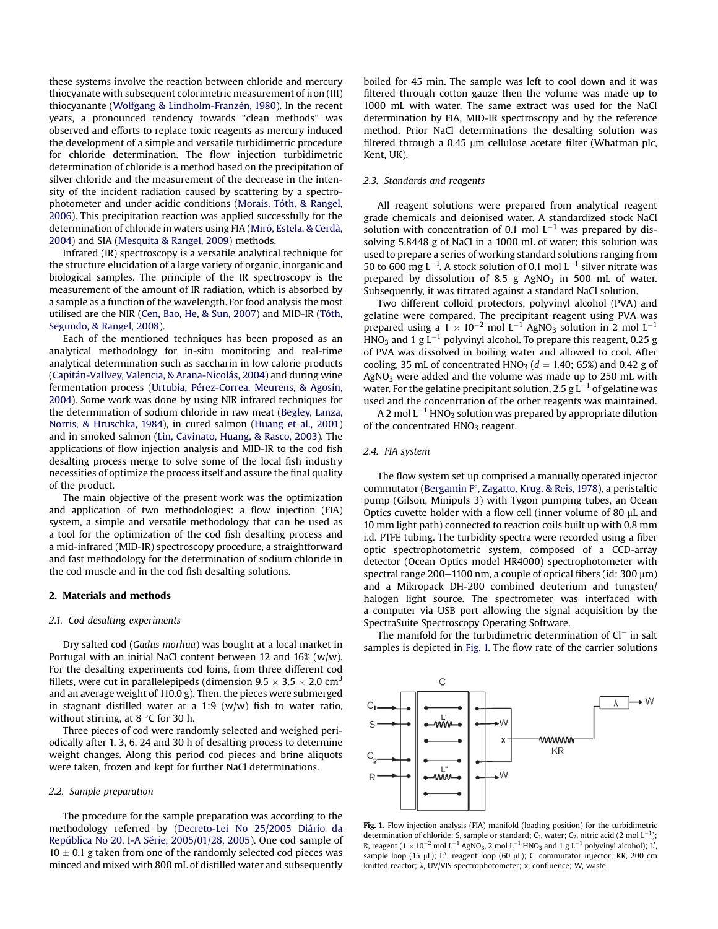these systems involve the reaction between chloride and mercury thiocyanate with subsequent colorimetric measurement of iron (III) thiocyanante (Wolfgang & Lindholm-Franzén, 1980). In the recent years, a pronounced tendency towards "clean methods" was observed and efforts to replace toxic reagents as mercury induced the development of a simple and versatile turbidimetric procedure for chloride determination. The flow injection turbidimetric determination of chloride is a method based on the precipitation of silver chloride and the measurement of the decrease in the intensity of the incident radiation caused by scattering by a spectrophotometer and under acidic conditions (Morais, Tóth, & Rangel, 2006). This precipitation reaction was applied successfully for the determination of chloride in waters using FIA (Miró, Estela, & Cerdà, 2004) and SIA (Mesquita & Rangel, 2009) methods.

Infrared (IR) spectroscopy is a versatile analytical technique for the structure elucidation of a large variety of organic, inorganic and biological samples. The principle of the IR spectroscopy is the measurement of the amount of IR radiation, which is absorbed by a sample as a function of the wavelength. For food analysis the most utilised are the NIR (Cen, Bao, He, & Sun, 2007) and MID-IR (Tóth, Segundo, & Rangel, 2008).

Each of the mentioned techniques has been proposed as an analytical methodology for in-situ monitoring and real-time analytical determination such as saccharin in low calorie products (Capitán-Vallvey, Valencia, & Arana-Nicolás, 2004) and during wine fermentation process (Urtubia, Pérez-Correa, Meurens, & Agosin, 2004). Some work was done by using NIR infrared techniques for the determination of sodium chloride in raw meat (Begley, Lanza, Norris, & Hruschka, 1984), in cured salmon (Huang et al., 2001) and in smoked salmon (Lin, Cavinato, Huang, & Rasco, 2003). The applications of flow injection analysis and MID-IR to the cod fish desalting process merge to solve some of the local fish industry necessities of optimize the process itself and assure the final quality of the product.

The main objective of the present work was the optimization and application of two methodologies: a flow injection (FIA) system, a simple and versatile methodology that can be used as a tool for the optimization of the cod fish desalting process and a mid-infrared (MID-IR) spectroscopy procedure, a straightforward and fast methodology for the determination of sodium chloride in the cod muscle and in the cod fish desalting solutions.

#### 2. Materials and methods

## 2.1. Cod desalting experiments

Dry salted cod (Gadus morhua) was bought at a local market in Portugal with an initial NaCl content between 12 and 16% (w/w). For the desalting experiments cod loins, from three different cod fillets, were cut in parallelepipeds (dimension  $9.5 \times 3.5 \times 2.0$  cm<sup>3</sup> and an average weight of 110.0 g). Then, the pieces were submerged in stagnant distilled water at a 1:9 (w/w) fish to water ratio, without stirring, at  $8^{\circ}$ C for 30 h.

Three pieces of cod were randomly selected and weighed periodically after 1, 3, 6, 24 and 30 h of desalting process to determine weight changes. Along this period cod pieces and brine aliquots were taken, frozen and kept for further NaCl determinations.

## 2.2. Sample preparation

The procedure for the sample preparation was according to the methodology referred by (Decreto-Lei No 25/2005 Diário da República No 20, I-A Série, 2005/01/28, 2005). One cod sample of  $10 \pm 0.1$  g taken from one of the randomly selected cod pieces was minced and mixed with 800 mL of distilled water and subsequently

boiled for 45 min. The sample was left to cool down and it was filtered through cotton gauze then the volume was made up to 1000 mL with water. The same extract was used for the NaCl determination by FIA, MID-IR spectroscopy and by the reference method. Prior NaCl determinations the desalting solution was filtered through a  $0.45$  µm cellulose acetate filter (Whatman plc, Kent, UK).

## 2.3. Standards and reagents

All reagent solutions were prepared from analytical reagent grade chemicals and deionised water. A standardized stock NaCl solution with concentration of 0.1 mol  $L^{-1}$  was prepared by dissolving 5.8448 g of NaCl in a 1000 mL of water; this solution was used to prepare a series of working standard solutions ranging from 50 to 600 mg L<sup>-1</sup>. A stock solution of 0.1 mol L<sup>-1</sup> silver nitrate was prepared by dissolution of 8.5 g  $AgNO<sub>3</sub>$  in 500 mL of water. Subsequently, it was titrated against a standard NaCl solution.

Two different colloid protectors, polyvinyl alcohol (PVA) and gelatine were compared. The precipitant reagent using PVA was prepared using a  $1 \times 10^{-2}$  mol L<sup>-1</sup> AgNO<sub>3</sub> solution in 2 mol L<sup>-1</sup>  $\widehat{\text{HNO}}_3$  and 1 g  $\text{L}^{-1}$  polyvinyl alcohol. To prepare this reagent, 0.25 g of PVA was dissolved in boiling water and allowed to cool. After cooling, 35 mL of concentrated  $HNO<sub>3</sub>$  ( $d = 1.40$ ; 65%) and 0.42 g of  $AgNO<sub>3</sub>$  were added and the volume was made up to 250 mL with water. For the gelatine precipitant solution, 2.5 g  $\rm L^{-1}$  of gelatine was used and the concentration of the other reagents was maintained.

A 2 mol L $^{-1}$  HNO3 solution was prepared by appropriate dilution of the concentrated HNO<sub>3</sub> reagent.

## 2.4. FIA system

The flow system set up comprised a manually operated injector commutator (Bergamin F°, Zagatto, Krug, & Reis, 1978), a peristaltic pump (Gilson, Minipuls 3) with Tygon pumping tubes, an Ocean Optics cuvette holder with a flow cell (inner volume of 80  $\mu$ L and 10 mm light path) connected to reaction coils built up with 0.8 mm i.d. PTFE tubing. The turbidity spectra were recorded using a fiber optic spectrophotometric system, composed of a CCD-array detector (Ocean Optics model HR4000) spectrophotometer with spectral range 200-1100 nm, a couple of optical fibers (id: 300  $\mu$ m) and a Mikropack DH-200 combined deuterium and tungsten/ halogen light source. The spectrometer was interfaced with a computer via USB port allowing the signal acquisition by the SpectraSuite Spectroscopy Operating Software.

The manifold for the turbidimetric determination of  $Cl^-$  in salt samples is depicted in Fig. 1. The flow rate of the carrier solutions



Fig. 1. Flow injection analysis (FIA) manifold (loading position) for the turbidimetric determination of chloride: S, sample or standard;  $C_1$ , water;  $C_2$ , nitric acid (2 mol  $L^{-1}$ ); R, reagent (1  $\times$  10<sup>-2</sup> mol L<sup>-1</sup> AgNO<sub>3</sub>, 2 mol L<sup>-1</sup> HNO<sub>3</sub> and 1 g L<sup>-1</sup> polyvinyl alcohol); L', sample loop (15 µL); L", reagent loop (60 µL); C, commutator injector; KR, 200 cm knitted reactor;  $\lambda$ , UV/VIS spectrophotometer; x, confluence; W, waste.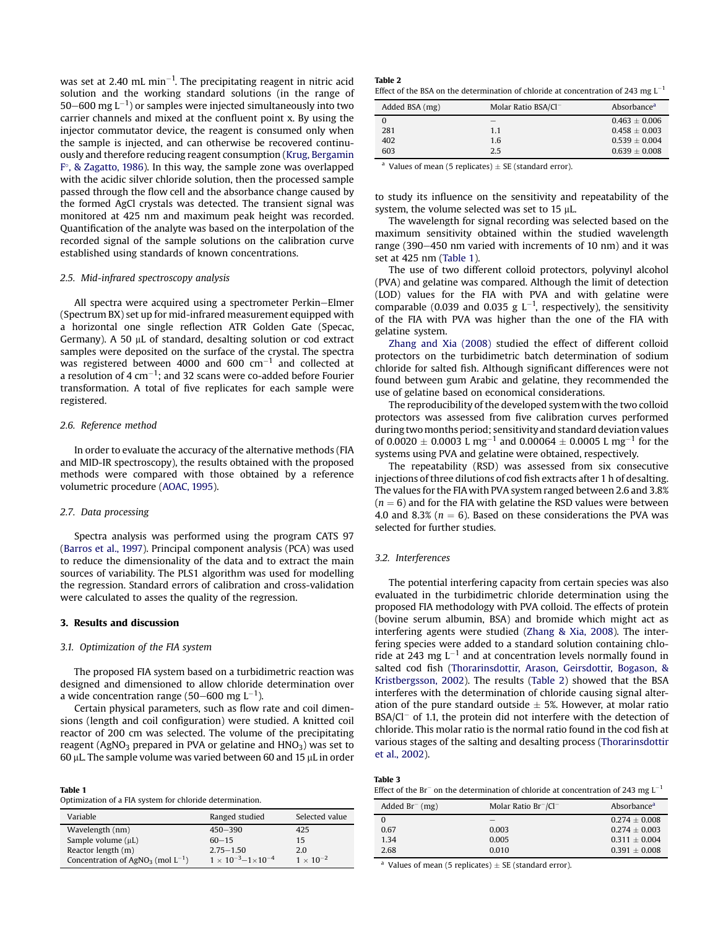was set at 2.40 mL min<sup>-1</sup>. The precipitating reagent in nitric acid solution and the working standard solutions (in the range of 50–600 mg  $L^{-1}$ ) or samples were injected simultaneously into two carrier channels and mixed at the confluent point x. By using the injector commutator device, the reagent is consumed only when the sample is injected, and can otherwise be recovered continuously and therefore reducing reagent consumption (Krug, Bergamin F°, & Zagatto, 1986). In this way, the sample zone was overlapped with the acidic silver chloride solution, then the processed sample passed through the flow cell and the absorbance change caused by the formed AgCl crystals was detected. The transient signal was monitored at 425 nm and maximum peak height was recorded. Quantification of the analyte was based on the interpolation of the recorded signal of the sample solutions on the calibration curve established using standards of known concentrations.

## 2.5. Mid-infrared spectroscopy analysis

All spectra were acquired using a spectrometer Perkin-Elmer (Spectrum BX) set up for mid-infrared measurement equipped with a horizontal one single reflection ATR Golden Gate (Specac, Germany). A 50  $\mu$ L of standard, desalting solution or cod extract samples were deposited on the surface of the crystal. The spectra was registered between 4000 and  $600 \text{ cm}^{-1}$  and collected at a resolution of 4 cm $^{-1}$ ; and 32 scans were co-added before Fourier transformation. A total of five replicates for each sample were registered.

## 2.6. Reference method

In order to evaluate the accuracy of the alternative methods (FIA and MID-IR spectroscopy), the results obtained with the proposed methods were compared with those obtained by a reference volumetric procedure (AOAC, 1995).

#### 2.7. Data processing

Spectra analysis was performed using the program CATS 97 (Barros et al., 1997). Principal component analysis (PCA) was used to reduce the dimensionality of the data and to extract the main sources of variability. The PLS1 algorithm was used for modelling the regression. Standard errors of calibration and cross-validation were calculated to asses the quality of the regression.

# 3. Results and discussion

## 3.1. Optimization of the FIA system

The proposed FIA system based on a turbidimetric reaction was designed and dimensioned to allow chloride determination over a wide concentration range (50–600 mg  $L^{-1}$ ).

Certain physical parameters, such as flow rate and coil dimensions (length and coil configuration) were studied. A knitted coil reactor of 200 cm was selected. The volume of the precipitating reagent (AgNO<sub>3</sub> prepared in PVA or gelatine and  $HNO<sub>3</sub>$ ) was set to  $60 \mu$ L. The sample volume was varied between 60 and 15  $\mu$ L in order

| Table 1                                                  |  |
|----------------------------------------------------------|--|
| Optimization of a FIA system for chloride determination. |  |

| Variable                                           | Ranged studied                        | Selected value     |
|----------------------------------------------------|---------------------------------------|--------------------|
| Wavelength (nm)                                    | $450 - 390$                           | 425                |
| Sample volume $(\mu L)$                            | $60 - 15$                             | 15                 |
| Reactor length (m)                                 | $2.75 - 1.50$                         | 2.0                |
| Concentration of AgNO <sub>3</sub> (mol $L^{-1}$ ) | $1 \times 10^{-3} - 1 \times 10^{-4}$ | $1 \times 10^{-2}$ |

| Table 2                                                                                |  |
|----------------------------------------------------------------------------------------|--|
| Effect of the BSA on the determination of chloride at concentration of 243 mg $L^{-1}$ |  |

| Added BSA (mg) | Molar Ratio $BSA/Cl^-$ | Absorbance <sup>a</sup> |
|----------------|------------------------|-------------------------|
|                |                        | $0.463 \pm 0.006$       |
| 281            | 1.1                    | $0.458 \pm 0.003$       |
| 402            | 1.6                    | $0.539 \pm 0.004$       |
| 603            | 2.5                    | $0.639 \pm 0.008$       |

<sup>a</sup> Values of mean (5 replicates)  $\pm$  SE (standard error).

to study its influence on the sensitivity and repeatability of the system, the volume selected was set to 15  $\mu$ L.

The wavelength for signal recording was selected based on the maximum sensitivity obtained within the studied wavelength range (390–450 nm varied with increments of 10 nm) and it was set at 425 nm (Table 1).

The use of two different colloid protectors, polyvinyl alcohol (PVA) and gelatine was compared. Although the limit of detection (LOD) values for the FIA with PVA and with gelatine were comparable (0.039 and 0.035 g  $L^{-1}$ , respectively), the sensitivity of the FIA with PVA was higher than the one of the FIA with gelatine system.

Zhang and Xia (2008) studied the effect of different colloid protectors on the turbidimetric batch determination of sodium chloride for salted fish. Although significant differences were not found between gum Arabic and gelatine, they recommended the use of gelatine based on economical considerations.

The reproducibility of the developed system with the two colloid protectors was assessed from five calibration curves performed during twomonths period; sensitivity and standard deviation values of 0.0020  $\pm$  0.0003 L mg<sup>-1</sup> and 0.00064  $\pm$  0.0005 L mg<sup>-1</sup> for the systems using PVA and gelatine were obtained, respectively.

The repeatability (RSD) was assessed from six consecutive injections of three dilutions of cod fish extracts after 1 h of desalting. The values for the FIA with PVA system ranged between 2.6 and 3.8%  $(n = 6)$  and for the FIA with gelatine the RSD values were between 4.0 and 8.3% ( $n = 6$ ). Based on these considerations the PVA was selected for further studies.

## 3.2. Interferences

The potential interfering capacity from certain species was also evaluated in the turbidimetric chloride determination using the proposed FIA methodology with PVA colloid. The effects of protein (bovine serum albumin, BSA) and bromide which might act as interfering agents were studied (Zhang & Xia, 2008). The interfering species were added to a standard solution containing chloride at 243 mg  $L^{-1}$  and at concentration levels normally found in salted cod fish (Thorarinsdottir, Arason, Geirsdottir, Bogason, & Kristbergsson, 2002). The results (Table 2) showed that the BSA interferes with the determination of chloride causing signal alteration of the pure standard outside  $\pm$  5%. However, at molar ratio  $BSA/CI^-$  of 1.1, the protein did not interfere with the detection of chloride. This molar ratio is the normal ratio found in the cod fish at various stages of the salting and desalting process (Thorarinsdottir et al., 2002).

| Table 3 |                                                                                                    |
|---------|----------------------------------------------------------------------------------------------------|
|         | Effect of the Br <sup>-</sup> on the determination of chloride at concentration of 243 mg $L^{-1}$ |

| Added $Br^{-}(mg)$ | Molar Ratio $Br^-/Cl^-$ | Absorbance <sup>a</sup> |
|--------------------|-------------------------|-------------------------|
|                    |                         | $0.274 \pm 0.008$       |
| 0.67               | 0.003                   | $0.274 + 0.003$         |
| 1.34               | 0.005                   | $0.311 \pm 0.004$       |
| 2.68               | 0.010                   | $0.391 \pm 0.008$       |

<sup>a</sup> Values of mean (5 replicates)  $\pm$  SE (standard error).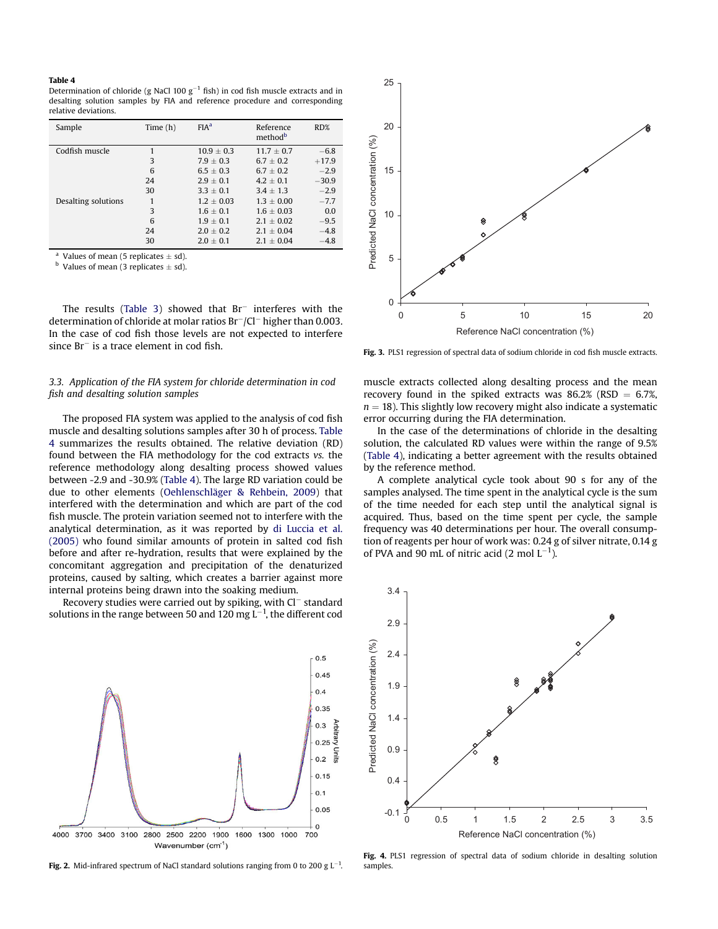#### Table 4

Determination of chloride (g NaCl 100  $g^{-1}$  fish) in cod fish muscle extracts and in desalting solution samples by FIA and reference procedure and corresponding relative deviations.

| Sample              | Time $(h)$ | FIA <sup>a</sup> | Reference<br>method <sup>b</sup> | RD%     |
|---------------------|------------|------------------|----------------------------------|---------|
| Codfish muscle      |            | $10.9 + 0.3$     | $11.7 + 0.7$                     | $-6.8$  |
|                     | 3          | $7.9 + 0.3$      | $6.7 + 0.2$                      | $+17.9$ |
|                     | 6          | $6.5 + 0.3$      | $6.7 + 0.2$                      | $-2.9$  |
|                     | 24         | $2.9 + 0.1$      | $4.2 + 0.1$                      | $-30.9$ |
|                     | 30         | $3.3 + 0.1$      | $3.4 + 1.3$                      | $-2.9$  |
| Desalting solutions |            | $1.2 + 0.03$     | $1.3 + 0.00$                     | $-7.7$  |
|                     | 3          | $1.6 + 0.1$      | $1.6 + 0.03$                     | 0.0     |
|                     | 6          | $1.9 + 0.1$      | $2.1 + 0.02$                     | $-9.5$  |
|                     | 24         | $2.0 + 0.2$      | $2.1 + 0.04$                     | $-4.8$  |
|                     | 30         | $2.0 + 0.1$      | $2.1 + 0.04$                     | $-4.8$  |

<sup>a</sup> Values of mean (5 replicates  $\pm$  sd).

 $\overline{b}$  Values of mean (3 replicates  $\pm$  sd).

The results (Table 3) showed that  $Br^-$  interferes with the determination of chloride at molar ratios  $Br^-/Cl^-$  higher than 0.003. In the case of cod fish those levels are not expected to interfere  $since Br<sup>-</sup> is a trace element in cod fish.$ 

# 3.3. Application of the FIA system for chloride determination in cod fish and desalting solution samples

The proposed FIA system was applied to the analysis of cod fish muscle and desalting solutions samples after 30 h of process. Table 4 summarizes the results obtained. The relative deviation (RD) found between the FIA methodology for the cod extracts vs. the reference methodology along desalting process showed values between -2.9 and -30.9% (Table 4). The large RD variation could be due to other elements (Oehlenschläger & Rehbein, 2009) that interfered with the determination and which are part of the cod fish muscle. The protein variation seemed not to interfere with the analytical determination, as it was reported by di Luccia et al. (2005) who found similar amounts of protein in salted cod fish before and after re-hydration, results that were explained by the concomitant aggregation and precipitation of the denaturized proteins, caused by salting, which creates a barrier against more internal proteins being drawn into the soaking medium.

Recovery studies were carried out by spiking, with Cl<sup>-</sup> standard solutions in the range between 50 and 120 mg  $L^{-1}$ , the different cod



Fig. 2. Mid-infrared spectrum of NaCl standard solutions ranging from 0 to 200 g  $L^{-1}$ .



Fig. 3. PLS1 regression of spectral data of sodium chloride in cod fish muscle extracts.

muscle extracts collected along desalting process and the mean recovery found in the spiked extracts was  $86.2\%$  (RSD = 6.7%,  $n = 18$ ). This slightly low recovery might also indicate a systematic error occurring during the FIA determination.

In the case of the determinations of chloride in the desalting solution, the calculated RD values were within the range of 9.5% (Table 4), indicating a better agreement with the results obtained by the reference method.

A complete analytical cycle took about 90 s for any of the samples analysed. The time spent in the analytical cycle is the sum of the time needed for each step until the analytical signal is acquired. Thus, based on the time spent per cycle, the sample frequency was 40 determinations per hour. The overall consumption of reagents per hour of work was: 0.24 g of silver nitrate, 0.14 g of PVA and 90 mL of nitric acid (2 mol  $\mathsf{L}^{-1}$ ).



Fig. 4. PLS1 regression of spectral data of sodium chloride in desalting solution samples.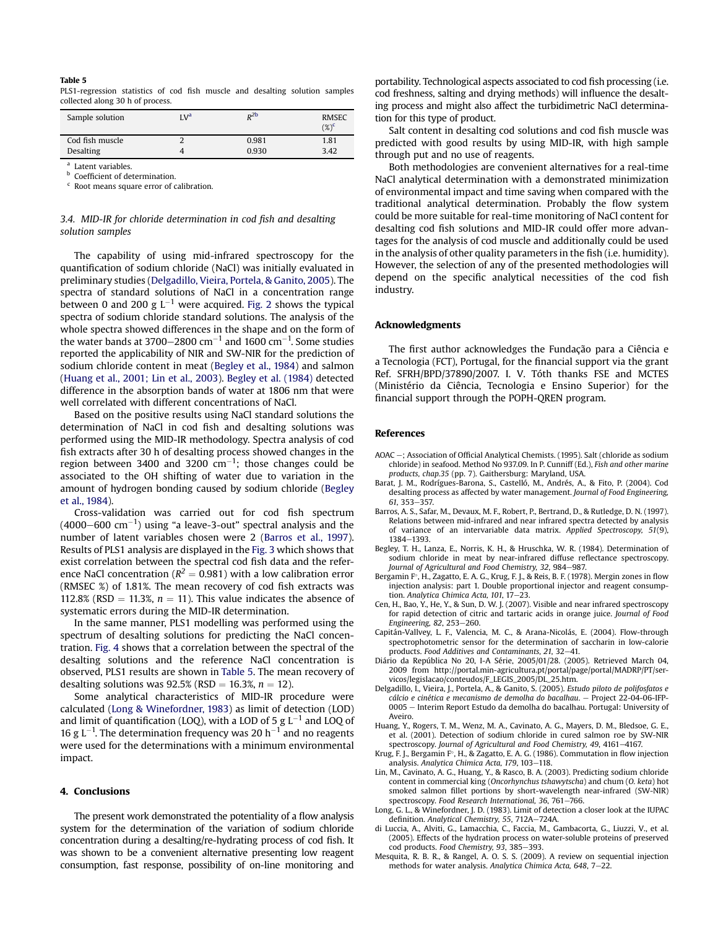#### Table 5

PLS1-regression statistics of cod fish muscle and desalting solution samples collected along 30 h of process.

| Sample solution  | I.V <sup>a</sup> | $R^2b$ | <b>RMSEC</b><br>$(\%)^c$ |
|------------------|------------------|--------|--------------------------|
| Cod fish muscle  |                  | 0.981  | 1.81                     |
| <b>Desalting</b> |                  | 0.930  | 3.42                     |

a Latent variables.

**b** Coefficient of determination.

<sup>c</sup> Root means square error of calibration.

# 3.4. MID-IR for chloride determination in cod fish and desalting solution samples

The capability of using mid-infrared spectroscopy for the quantification of sodium chloride (NaCl) was initially evaluated in preliminary studies (Delgadillo, Vieira, Portela, & Ganito, 2005). The spectra of standard solutions of NaCl in a concentration range between 0 and 200 g  $L^{-1}$  were acquired. Fig. 2 shows the typical spectra of sodium chloride standard solutions. The analysis of the whole spectra showed differences in the shape and on the form of the water bands at 3700–2800  $\rm cm^{-1}$  and 1600  $\rm cm^{-1}$ . Some studies reported the applicability of NIR and SW-NIR for the prediction of sodium chloride content in meat (Begley et al., 1984) and salmon (Huang et al., 2001; Lin et al., 2003). Begley et al. (1984) detected difference in the absorption bands of water at 1806 nm that were well correlated with different concentrations of NaCl.

Based on the positive results using NaCl standard solutions the determination of NaCl in cod fish and desalting solutions was performed using the MID-IR methodology. Spectra analysis of cod fish extracts after 30 h of desalting process showed changes in the region between 3400 and 3200  $cm^{-1}$ ; those changes could be associated to the OH shifting of water due to variation in the amount of hydrogen bonding caused by sodium chloride (Begley et al., 1984).

Cross-validation was carried out for cod fish spectrum  $(4000-600 \text{ cm}^{-1})$  using "a leave-3-out" spectral analysis and the number of latent variables chosen were 2 (Barros et al., 1997). Results of PLS1 analysis are displayed in the Fig. 3 which shows that exist correlation between the spectral cod fish data and the reference NaCl concentration ( $R^2=0.981$ ) with a low calibration error (RMSEC %) of 1.81%. The mean recovery of cod fish extracts was 112.8% (RSD = 11.3%,  $n = 11$ ). This value indicates the absence of systematic errors during the MID-IR determination.

In the same manner, PLS1 modelling was performed using the spectrum of desalting solutions for predicting the NaCl concentration. Fig. 4 shows that a correlation between the spectral of the desalting solutions and the reference NaCl concentration is observed, PLS1 results are shown in Table 5. The mean recovery of desalting solutions was  $92.5%$  (RSD = 16.3%,  $n = 12$ ).

Some analytical characteristics of MID-IR procedure were calculated (Long & Winefordner, 1983) as limit of detection (LOD) and limit of quantification (LOQ), with a LOD of 5 g L $^{-1}$  and LOQ of 16 g  $L^{-1}$ . The determination frequency was 20 h<sup>-1</sup> and no reagents were used for the determinations with a minimum environmental impact.

## 4. Conclusions

The present work demonstrated the potentiality of a flow analysis system for the determination of the variation of sodium chloride concentration during a desalting/re-hydrating process of cod fish. It was shown to be a convenient alternative presenting low reagent consumption, fast response, possibility of on-line monitoring and portability. Technological aspects associated to cod fish processing (i.e. cod freshness, salting and drying methods) will influence the desalting process and might also affect the turbidimetric NaCl determination for this type of product.

Salt content in desalting cod solutions and cod fish muscle was predicted with good results by using MID-IR, with high sample through put and no use of reagents.

Both methodologies are convenient alternatives for a real-time NaCl analytical determination with a demonstrated minimization of environmental impact and time saving when compared with the traditional analytical determination. Probably the flow system could be more suitable for real-time monitoring of NaCl content for desalting cod fish solutions and MID-IR could offer more advantages for the analysis of cod muscle and additionally could be used in the analysis of other quality parameters in the fish (i.e. humidity). However, the selection of any of the presented methodologies will depend on the specific analytical necessities of the cod fish industry.

#### Acknowledgments

The first author acknowledges the Fundação para a Ciência e a Tecnologia (FCT), Portugal, for the financial support via the grant Ref. SFRH/BPD/37890/2007. I. V. Tóth thanks FSE and MCTES (Ministério da Ciência, Tecnologia e Ensino Superior) for the financial support through the POPH-QREN program.

## References

- AOAC e; Association of Official Analytical Chemists. (1995). Salt (chloride as sodium chloride) in seafood. Method No 937.09. In P. Cunniff (Ed.), Fish and other marine products, chap.35 (pp. 7). Gaithersburg: Maryland, USA.
- Barat, J. M., Rodrígues-Barona, S., Castelló, M., Andrés, A., & Fito, P. (2004). Cod desalting process as affected by water management. Journal of Food Engineering, 61, 353-357.
- Barros, A. S., Safar, M., Devaux, M. F., Robert, P., Bertrand, D., & Rutledge, D. N. (1997). Relations between mid-infrared and near infrared spectra detected by analysis of variance of an intervariable data matrix. Applied Spectroscopy, 51(9), 1384-1393.
- Begley, T. H., Lanza, E., Norris, K. H., & Hruschka, W. R. (1984). Determination of sodium chloride in meat by near-infrared diffuse reflectance spectroscopy. Journal of Agricultural and Food Chemistry, 32, 984-987.
- Bergamin F°, H., Zagatto, E. A. G., Krug, F. J., & Reis, B. F. (1978). Mergin zones in flow injection analysis: part 1. Double proportional injector and reagent consumption. Analytica Chimica Acta, 101, 17-23.
- Cen, H., Bao, Y., He, Y., & Sun, D. W. J. (2007). Visible and near infrared spectroscopy for rapid detection of citric and tartaric acids in orange juice. Journal of Food Engineering, 82, 253-260.
- Capitán-Vallvey, L. F., Valencia, M. C., & Arana-Nicolás, E. (2004). Flow-through spectrophotometric sensor for the determination of saccharin in low-calorie products. Food Additives and Contaminants, 21, 32-41.
- Diário da República No 20, I-A Série, 2005/01/28. (2005). Retrieved March 04, 2009 from http://portal.min-agricultura.pt/portal/page/portal/MADRP/PT/servicos/legislacao/conteudos/F\_LEGIS\_2005/DL\_25.htm.
- Delgadillo, I., Vieira, J., Portela, A., & Ganito, S. (2005). Estudo piloto de polifosfatos e  $c$ álcio e cinética e mecanismo de demolha do bacalhau.  $-$  Project 22-04-06-IFP-0005 e Interim Report Estudo da demolha do bacalhau. Portugal: University of Aveiro.
- Huang, Y., Rogers, T. M., Wenz, M. A., Cavinato, A. G., Mayers, D. M., Bledsoe, G. E., et al. (2001). Detection of sodium chloride in cured salmon roe by SW-NIR spectroscopy. Journal of Agricultural and Food Chemistry, 49, 4161-4167.
- Krug, F. J., Bergamin F°, H., & Zagatto, E. A. G. (1986). Commutation in flow injection analysis. Analytica Chimica Acta, 179, 103-118.
- Lin, M., Cavinato, A. G., Huang, Y., & Rasco, B. A. (2003). Predicting sodium chloride content in commercial king (Oncorhynchus tshawytscha) and chum (O. keta) hot smoked salmon fillet portions by short-wavelength near-infrared (SW-NIR) spectroscopy. Food Research International, 36, 761-766.
- Long, G. L., & Winefordner, J. D. (1983). Limit of detection a closer look at the IUPAC definition. Analytical Chemistry, 55, 712A-724A.
- di Luccia, A., Alviti, G., Lamacchia, C., Faccia, M., Gambacorta, G., Liuzzi, V., et al. (2005). Effects of the hydration process on water-soluble proteins of preserved cod products. Food Chemistry, 93, 385-393.
- Mesquita, R. B. R., & Rangel, A. O. S. S. (2009). A review on sequential injection methods for water analysis. Analytica Chimica Acta, 648, 7-22.